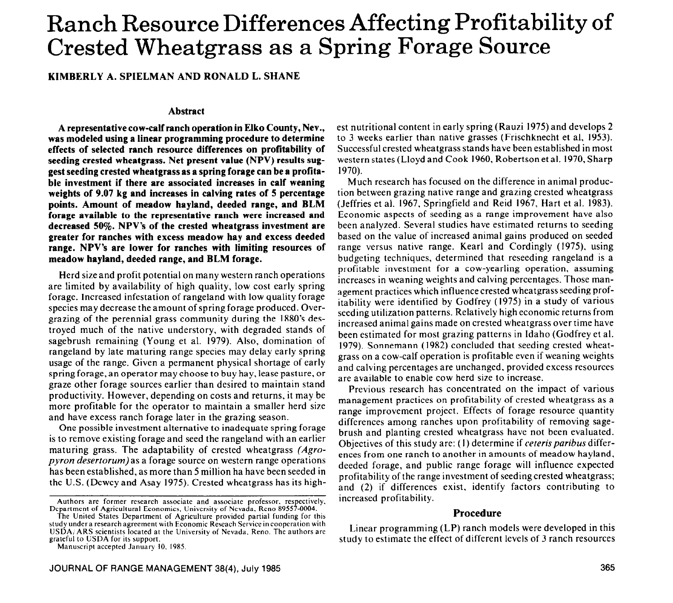## Ranch Resource Differences Affecting Profitability of Crested Wheatgrass as a Spring Forage Source

**KIMBERLY A. SPIELMAN AND RONALD L. SHANE** 

#### **Abstract**

**A representative cow-calf ranch operation in Elko County, Nev., was modeled using a linear programming procedure to determine effects of selected ranch resource differences on profitability of seeding crested wheatgrass. Net present value (NPV) results suggest seeding crested wheatgrass as a spring forage can be a profitable investment if there are associated increases in calf weaning weights of 9.07 kg and increases in calving rates of 5 percentage points. Amount of meadow hayland, deeded range, and BLM forage available to the representative ranch were increased and decreased 50%. NPV's of the crested wheatgrass investment are greater for ranches with excess meadow hay and excess deeded range. NPV's are lower for ranches with limiting resources of meadow hayland, deeded range, and BLM forage.** 

Herd size and profit potential on many western ranch operations are limited by availability of high quality, low cost early spring forage. Increased infestation of rangeland with low quality forage species may decrease the amount of spring forage produced. Overgrazing of the perennial grass community during the 1880's destroyed much of the native understory, with degraded stands of sagebrush remaining (Young et al. 1979). Also, domination of rangeland by late maturing range species may delay early spring usage of the range. Given a permanent physical shortage of early spring forage, an operator may choose to buy hay, lease pasture, or graze other forage sources earlier than desired to maintain stand productivity. However, depending on costs and returns, it may be more profitable for the operator to maintain a smaller herd size and have excess ranch forage later in the grazing season.

One possible investment alternative to inadequate spring forage is to remove existing forage and seed the rangeland with an earlier maturing grass. The adaptability of crested wheatgrass *(Agropyron deserrorum)* as a forage source on western range operations has been established, as more than 5 million ha have been seeded in the U.S. (Dewey and Asay 1975). Crested wheatgrass has its highest nutritional content in early spring (Rauzi 1975) and develops 2 to 3 weeks earlier than native grasses (Frischknecht et al, 1953). Successful crested wheatgrass stands have been established in most western states (Lloyd and Cook 1960, Robertson et al. 1970, Sharp 1970).

Much research has focused on the difference in animal production between grazing native range and grazing crested wheatgrass (Jeffries et al. 1967, Springfield and Reid 1967, Hart et al. 1983). Economic aspects of seeding as a range improvement have also been analyzed. Several studies have estimated returns to seeding based on the value of increased animal gains produced on seeded range versus native range. Kearl and Cordingly (1975). using budgeting techniques, determined that reseeding rangeland is a profitable investment for a cow-yearling operation. assuming increases in weaning weights and calving percentages. Those management practices which influence crested wheatgrass seeding profitability were identified by Godfrey (1975) in a study of various seeding utilization patterns. Relatively high economic returns from increased animal gains made on crested wheatgrass over time have been estimated for most grazing patterns in Idaho (Godfrey et al. 1979). Sonnemann (1982) concluded that seeding crested wheatgrass on a cow-calf operation is profitable even if weaning weights and calving percentages are unchanged. provided excess resources are available to enable cow herd size to increase.

Previous research has concentrated on the impact of various management practices on profitability of crested wheatgrass as a range improvement project. Effects of forage resource quantity differences among ranches upon profitability of removing sagebrush and planting crested wheatgrass have not been evaluated. Objectives of this study are: (I) determine if *ceterisparibus* differences from one ranch to another in amounts of meadow hayland. deeded forage, and public range forage will influence expected profitability of the range investment of seedingcrested wheatgrass; and (2) if differences exist, identify factors contributing to increased profitability.

#### **Procedure**

Linear programming (LP) ranch models were developed in this study to estimate the effect of different levels of 3 ranch resources

**Authors are former research associate and associate professor. respectively. Department of Agricultural Economics. University of Nevada. Reno 89557-0004.** 

The United States Department of Agriculture provided partial funding for this study under a research agreement with Economic Reseach Service in cooperation with USDA<sub>(ARS</sub> scientists located at the University of Nevada, Reno. The authors are **grateful to USDA for its support.** 

**Manuscript accepted January IO. 1985.**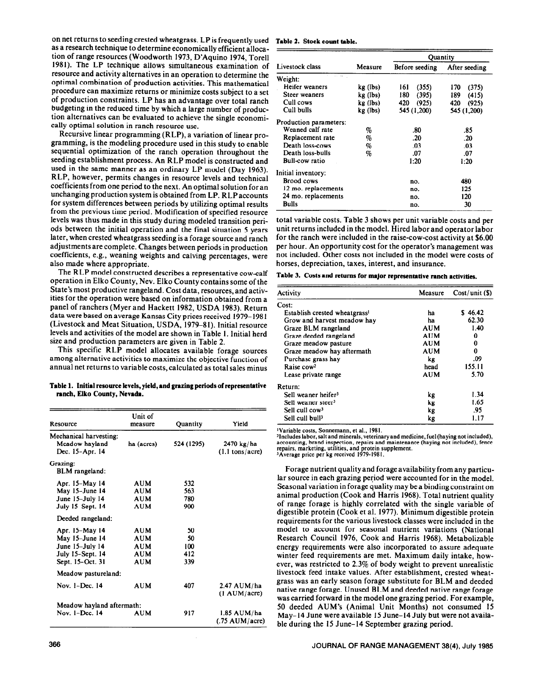on net returns to seeding crested wheatgrass. LP is frequently used **Table 2. Stock count table.**  as a research technique to determine economically efficient allocation of range resources (Woodworth 1973, D'Aquino 1974, Torell 1981). The LP technique allows simultaneous examination of resource and activity alternatives in an operation to determine the optimal combination of production activities. This mathematical procedure can maximize returns or minimize costs subject to a set of production constraints. LP has an advantage over total ranch budgeting in the reduced time by which a large number of production alternatives can be evaluated to achieve the single economically optimal solution in ranch resource use.

Recursive linear programming (RLP), a variation of linear programming, is the modeling procedure used in this study to enable sequential optimization of the ranch operation throughout the seeding establishment process. An RLP model is constructed and used in the same manner as an ordinary LP model (Day 1963). RLP, however, permits changes in resource levels and technical coefficients from one period to the next. An optimal solution for an unchanging production system is obtained from LP. RLP accounts for system differences between periods by utilizing optimal results from the previous time period. Modification of specified resource levels was thus made in this study during modeled transition periods between the initial operation and the final situation 5 years later, when crested wheatgrass seeding is a forage source and ranch adjustments are complete. Changes between periods in production coefficients, e.g., weaning weights and calving percentages, were also made where appropriate.

The RLP model constructed describes a representative cow-calf operation in Elko County, Nev. Elko County contains some of the State's most productive rangeland. Cost data, resources, and activities for the operation were based on information obtained from a panel of ranchers (Myer and Hackett 1982, USDA 1983). Return data were based on average Kansas City prices received 1979- 198 1 (Livestock and Meat Situation, USDA, 1979-81). Initial resource levels and activities of the model are shown in Table I. Initial herd size and production parameters are given in Table 2.

This specific RLP model allocates available forage sources among alternative activities to maximize the objective function of annual net returns to variable costs, calculated as total sales minus

Table **1. Initial resource levels, yield, and grazing periods** of representative **ranch, Elko County, Nevada.** 

| Resource                                                    | Unit of<br>measure       | Quantity          | Yield                                        |
|-------------------------------------------------------------|--------------------------|-------------------|----------------------------------------------|
| Mechanical harvesting:<br>Meadow hayland<br>Dec. 15-Apr. 14 | ha (acres)               | 524 (1295)        | 2470 kg/ha<br>$(1.1 \text{ tons/acre})$      |
| Grazing:<br><b>BLM</b> rangeland:                           |                          |                   |                                              |
| Apr. 15–May 14<br>May 15-June 14<br>June 15-July 14         | AUM<br>AUM<br>AUM        | 532<br>563<br>780 |                                              |
| July 15-Sept. 14                                            | <b>AUM</b>               | 900               |                                              |
| Deeded rangeland:<br>Apr. 15-May 14<br>May 15-June 14       | <b>AUM</b><br>AUM        | 50<br>50          |                                              |
| June 15-July 14<br>July 15-Sept. 14                         | <b>AUM</b><br><b>AUM</b> | 100<br>412        |                                              |
| Sept. 15-Oct. 31<br>Meadow pastureland:                     | AUM                      | 339               |                                              |
| Nov. 1-Dec. 14                                              | <b>AUM</b>               | 407               | 2.47 AUM/ha<br>$(1 \text{ AUM}/\text{acre})$ |
| Meadow hayland aftermath:<br>Nov. 1-Dec. 14                 | <b>AUM</b>               | 917               | 1.85 AUM/ha<br>$(.75 \text{ AUM/acre})$      |

|                        | Measure  | Ouantity       |               |  |
|------------------------|----------|----------------|---------------|--|
| Livestock class        |          | Before seeding | After seeding |  |
| 11.12<br>Weight:       |          |                |               |  |
| Heifer weaners         | kg (lbs) | 161<br>(355)   | 170<br>(375)  |  |
| Steer weaners          | kg (lbs) | 180<br>(395)   | 189<br>(415)  |  |
| Cull cows              | kg (lbs) | 420<br>(925)   | 420<br>(925)  |  |
| Cull bulls             | kg (lbs) | 545 (1,200)    | 545 (1,200)   |  |
| Production parameters: |          |                |               |  |
| Weaned calf rate       | %        | .80            | .85           |  |
| Replacement rate       | %        | .20            | .20           |  |
| Death loss-cows        | %        | .03            | .03           |  |
| Death loss-bulls       | %        | -07            | .07           |  |
| <b>Bull-cow ratio</b>  |          | 1:20           | 1:20          |  |
| Initial inventory:     |          |                |               |  |
| Brood cows             |          | no.            | 480           |  |
| 12 mo. replacements    |          | no.            | 125           |  |
| 24 mo. replacements    |          | no.            | 120           |  |
| <b>Bulls</b>           |          | no.            | 30            |  |

total variable costs. Table 3 shows per unit variable costs and per unit returns included in the model. Hired labor and operator labor for the ranch were included in the raise-cow-cost activity at \$6.00 per hour. An opportunity cost for the operator's management was not included. Other costs not included in the model were costs of horses, depreciation, taxes, interest, and insurance.

#### **Table 3. Costs and returns for major representative ranch activities.**

| Activity                                  | Measure     | $Cost$ /unit $(S)$ |  |
|-------------------------------------------|-------------|--------------------|--|
| Cost:                                     |             |                    |  |
| Establish crested wheatgrass <sup>1</sup> | ha          | \$46.42            |  |
| Grow and harvest meadow hay               | ha          | 62.30              |  |
| Graze BLM rangeland                       | <b>AUM</b>  | 1.40               |  |
| Graze deeded rangeland                    | <b>AIIM</b> | 0                  |  |
| Graze meadow pasture                      | <b>AUM</b>  | 0                  |  |
| Graze meadow hay aftermath                | <b>AUM</b>  | 0                  |  |
| Purchase grass hay                        | kg          | .09                |  |
| Raise cow <sup>2</sup>                    | head        | 155.11             |  |
| Lease private range                       | <b>AUM</b>  | 5.70               |  |
| Return:                                   |             |                    |  |
| Sell weaner heifer <sup>3</sup>           | kg          | 1.34               |  |
| Sell weaner steer <sup>3</sup>            | kg          | 1.65               |  |
| Sell cull cow <sup>3</sup>                | kg          | .95                |  |
| Sell cull bull <sup>3</sup>               | kg          | 1.17               |  |

**'Variable costs, Sonnemann, et al., 1981.** 

**2lncludes labor, salt and minerals, veterinary and medicine, fuel (haying not included), accounting, brand inspection, repairs and maintenance (haying not included), fence**  repairs, marketing, utilities, and protein supplement<br><sup>3</sup>Average price per kg received 1979-1981.

Forage nutrient quality and forage availability from any particular source in each grazing period were accounted for in the model. Seasonal variation in forage quality may be a binding constraint on animal production (Cook and Harris 1968). Total nutrient quality of range forage is highly correlated with the single variable of digestible protein (Cook et al. 1977). Minimum digestible protein requirements for the various livestock classes were included in the model to account for seasonal nutrient variations (National Research Council 1976, Cook and Harris 1968). Metabolizable energy requirements were also incorporated to assure adequate winter feed requirements are met. Maximum daily intake, however, was restricted to 2.3% of body weight to prevent unrealistic livestock feed intake values. After establishment, crested wheatgrass was an early season forage substitute for BLM and deeded native range forage. Unused BLM and deeded native range forage was carried forward in the model one grazing period. For example, 50 deeded AUM's (Animal Unit Months) not consumed 15 May- 14 June were available 15 June-14 July but were not available during the 15 June-14 September grazing period.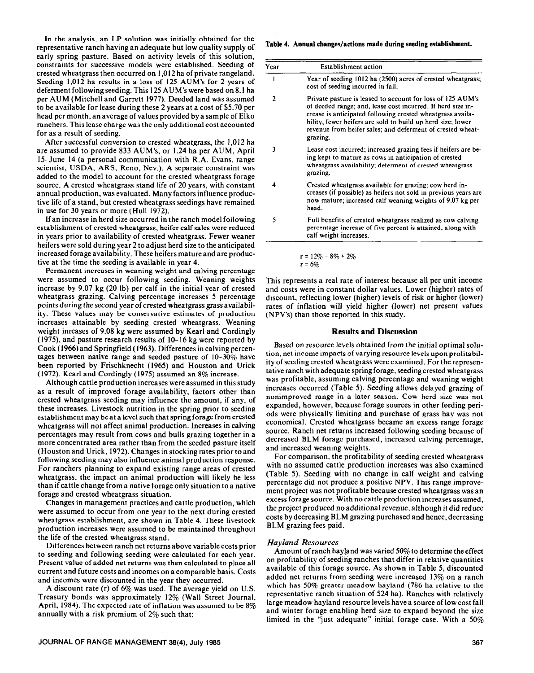In the analysis, an LP solution was initially obtained for the representative ranch having an adequate but low quality supply of early spring pasture. Based on activity levels of this solution, constraints for successive models were established. Seeding of crested wheatgrass then occurred on I ,O I2 ha of private rangeland. Seeding 1,012 ha results in a loss of 125 AUM's for 2 years of deferment following seeding. This 125 AUM's were based on 8.1 ha per AUM (Mitchell and Garrett 1977). Deeded land was assumed to be available for lease during these 2 years at a cost of \$5.70 per head per month, an average of values provided by a sample of Elko ranchers. This lease charge was the only additional cost accounted for as a result of seeding.

After successful conversion to crested wheatgrass, the 1,012 ha are assumed to provide 833 AUM's, or 1.24 ha per AUM, April IS-June 14 (a personal communication with R.A. Evans, range scientist, USDA, ARS, Reno, Nev.). A separate constraint was added to the model to account for the crested wheatgrass forage source. A crested wheatgrass stand life of 20 years, with constant annual production, was evaluated. Many factors influence productive life of a stand, but crested wheatgrass seedings have remained in use for 30 years or more (Hull 1972).

If an increase in herd size occurred in the ranch model following establishment of crested wheatgrass, heifer calf sales were reduced in years prior to availability of crested wheatgrass. Fewer weaner heifers were sold during year 2 to adjust herd size to the anticipated increased forage availability. These heifers mature and are productive at the time the seeding is available in year 4.

Permanent increases in weaning weight and calving percentage were assumed to occur following seeding. Weaning weights increase by 9.07 kg (20 lb) per calf in the initial year of crested wheatgrass grazing. Calving percentage increases 5 percentage points during the second year of crested wheatgrass grass availability. These values may be conservative estimates of production increases attainable by seeding crested wheatgrass. Weaning weight inreases of 9.08 kg were assumed by Kearl and Cordingly (1975), and pasture research results of IO-16 kg were reported by Cook (1966) and Springfield (1963). Differences in calving percentages between native range and seeded pasture of lo-30% have been reported by Frischknecht (1965) and Houston and Urick (1972). Kearl and Cordingly (1975) assumed an 8% increase.

Although cattle production increases were assumed in this study as a result of improved forage availability, factors other than crested wheatgrass seeding may influence the amount, if any, of these increases. Livestock nutrition in the spring prior to seeding establishment may be at a level such that spring forage from crested wheatgrass will not affect animal production. Increases in calving percentages may result from cows and bulls grazing together in a more concentrated area rather than from the seeded pasture itself (Houston and Urick, 1972). Changes in stocking rates prior to and following seeding may also influence animal production response. For ranchers planning to expand existing range areas of crested wheatgrass, the impact on animal production will likely be less than if cattle change from a native forage only situation to a native forage and crested wheatgrass situation.

Changes in management practices and cattle production, which were assumed to occur from one year to the next during crested wheatgrass establishment, are shown in Table 4. These livestock production increases were assumed to be maintained throughout the life of the crested wheatgrass stand.

Differences between ranch net returns above variable costs prior to seeding and following seeding were calculated for each year. Present value of added net returns was then calculated to place all current and future costs and incomes on a comparable basis. Costs and incomes were discounted in the year they occurred.

A discount rate (r) of 6% was used. The average yield on U.S. Treasury bonds was approximately 12% (Wall Street Journal, April, 1984). The expected rate of inflation was assumed to be 8% annually with a risk premium of 2% such that:

#### **Table 4. Annual changes/actions made during seeding establishment.**

| Year | <b>Establishment action</b>                                                                                                                                                                                                                                                                                                      |
|------|----------------------------------------------------------------------------------------------------------------------------------------------------------------------------------------------------------------------------------------------------------------------------------------------------------------------------------|
|      | Year of seeding 1012 ha (2500) acres of crested wheatgrass;<br>cost of seeding incurred in fall.                                                                                                                                                                                                                                 |
| 2    | Private pasture is leased to account for loss of 125 AUM's<br>of deeded range; and, lease cost incurred. If herd size in-<br>crease is anticipated following crested wheatgrass availa-<br>bility, fewer heifers are sold to build up herd size; lower<br>revenue from heifer sales; and deferment of crested wheat-<br>grazing. |
| 3    | Lease cost incurred; increased grazing fees if heifers are be-<br>ing kept to mature as cows in anticipation of crested<br>wheatgrass availability; deferment of crested wheatgrass<br>grazing.                                                                                                                                  |
| 4    | Crested wheatgrass available for grazing; cow herd in-<br>creases (if possible) as heifers not sold in previous years are<br>now mature; increased calf weaning weights of 9.07 kg per<br>head.                                                                                                                                  |
| 5    | Full benefits of crested wheatgrass realized as cow calving<br>percentage increase of five percent is attained, along with<br>calf weight increases.                                                                                                                                                                             |

 $r = 12\% - 8\% + 2\%$  $r = 6%$ 

This represents a real rate of interest because all per unit income and costs were in constant dollar values. Lower (higher) rates of discount, reflecting lower (higher) levels of risk or higher (lower) rates of inflation will yield higher (lower) net present values (NPVs) than those reported in this study.

#### **Results and Discussion**

Based on resource levels obtained from the initial optimal solution, net income impacts of varying resource levels upon profitability of seeding crested wheatgrass were examined. For the representative ranch with adequate spring forage, seeding crested wheatgrass was profitable, assuming calving percentage and weaning weight increases occurred (Table 5). Seeding allows delayed grazing of nonimproved range in a later season. Cow herd size was not expanded, however, because forage sources in other feeding periods were physically limiting and purchase of grass hay was not economical. Crested wheatgrass became an excess range forage source. Ranch net returns increased following seeding because of decreased BLM forage purchased, increased calving percentage, and increased weaning weights.

For comparison, the profitability of seeding crested wheatgrass with no assumed cattle production increases was also examined (Table 5). Seeding with no change in calf weight and calving percentage did not produce a positive NPV. This range improvement project was not profitable because crested wheatgrass was an excess forage source. With no cattle production increases assumed, the project produced noadditional revenue, although it did reduce costs by decreasing BLM grazing purchased and hence, decreasing BLM grazing fees paid.

#### *Hayland Resources*

Amount of ranch hayland was varied 50% to determine the effect on profitability of seedihg ranches that differ in relative quantities available of this forage source. As shown in Table 5, discounted added net returns from seeding were increased 13% on a ranch which has 50% greater meadow hayland (786 ha relative to the representative ranch situation of 524 ha). Ranches with relatively large meadow hayland resource levels have a source of low cost fall and winter forage enabling herd size to expand beyond the size limited in the "just adequate" initial forage case. With a 50%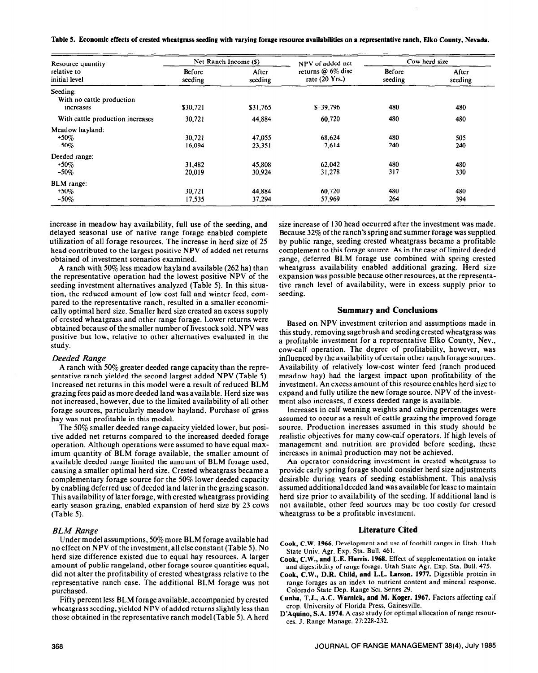**Table 5. Economic effects of crested wheatgrass seeding with varying forage resource availabilities on a representative ranch,** Elko County, Nevada.

| Resource quantity<br>relative to<br>initial level  | Net Ranch Income (\$) |                  | NPV of added net                                | Cow herd size            |                  |
|----------------------------------------------------|-----------------------|------------------|-------------------------------------------------|--------------------------|------------------|
|                                                    | Before<br>seeding     | After<br>seeding | returns $@6\%$ disc<br>rate $(20 \text{ Yrs.})$ | <b>Before</b><br>seeding | After<br>seeding |
| Seeding:<br>With no cattle production<br>increases | \$30,721              | \$31,765         | $S-39,796$                                      | 480                      | 480              |
| With cattle production increases                   | 30,721                | 44,884           | 60,720                                          | 480                      | 480              |
| Meadow hayland:                                    |                       |                  |                                                 |                          |                  |
| $+50\%$                                            | 30,721                | 47.055           | 68,624                                          | 480                      | 505              |
| $-50\%$                                            | 16,094                | 23,351           | 7.614                                           | 240                      | 240              |
| Deeded range:                                      |                       |                  |                                                 |                          |                  |
| $+50\%$                                            | 31,482                | 45,808           | 62.042                                          | 480                      | 480              |
| $-50%$                                             | 20,019                | 30,924           | 31,278                                          | 317                      | 330              |
| BLM range:                                         |                       |                  |                                                 |                          |                  |
| $+50%$                                             | 30,721                | 44,884           | 60,720                                          | 480                      | 480              |
| $-50\%$                                            | 17,535                | 37,294           | 57,969                                          | 264                      | 394              |

increase in meadow hay availability, full use of the seeding, and delayed seasonal use of native range forage enabled complete utilization of all forage resources. The increase in herd size of 25 head contributed to the largest positive NPV of added net returns obtained of investment scenarios examined.

A ranch with 50% less meadow hayland available (262 ha) than the representative operation had the lowest positive NPV of the seeding investment alternatives analyzed (Table 5). In this situation, the reduced amount of low cost fall and winter feed, compared to the representative ranch, resulted in a smaller economically optimal herd size. Smaller herd size created an excess supply of crested wheatgrass and other range forage. Lower returns were obtained because of the smaller number of livestock sold. NPV was positive but low, relative to other alternatives evaluated in the study.

#### *Deeded Range*

A ranch with 50% greater deeded range capacity than the representative ranch yielded the second largest added NPV (Table 5). Increased net returns in this model were a result of reduced BLM grazing fees paid as more deeded land was available. Herd size was not increased, however, due to the limited availability of all other forage sources, particularly meadow hayland. Purchase of grass hay was not profitable in this model.

The 50% smaller deeded range capacity yielded lower, but positive added net returns compared to the increased deeded forage operation. Although operations were assumed to have equal maximum quantity of BLM forage available, the smaller amount of available deeded range limited the amount of BLM forage used, causing a smaller optimal herd size. Crested wheatgrass became a complementary forage source for the 50% lower deeded capacity by enabling deferred use of deeded land later in the grazing season. This availability of later forage, with crested wheatgrass providing early season grazing, enabled expansion of herd size by 23 cows (Table 5).

Under model assumptions, 50% more BLM forage available had no effect on NPV of the investment, all else constant (Table 5). No herd size difference existed due to equal hay resources. A larger amount of public rangeland, other forage source quantities equal, did not alter the profitability of crested wheatgrass relative to the representative ranch case. The additional BLM forage was not purchased.

Fifty percent less BLM forage available, accompanied by crested wheatgrass seeding, yielded NPV of added returns slightly less than those obtained in the representative ranch model (Table 5). A herd

size increase of 130 head occurred after the investment was made. Because 32% of the ranch's spring and summer forage was supplied by public range, seeding crested wheatgrass became a profitable complement to this forage source. As in the case of limited deeded range, deferred BLM forage use combined with spring crested wheatgrass availability enabled additional grazing. Herd size expansion was possible because other resources, at the representative ranch level of availability. were in excess supply prior to seeding.

#### **Summary and Conclusions**

Based on NPV investment criterion and assumptions made in this study, removing sagebrush and seeding crested wheatgrass was a profitable investment for a representative Elko County, Nev., cow-calf operation. The degree of profitability, however, was influenced by the availability of certain other ranch forage sources. Availability of relatively low-cost winter feed (ranch produced meadow hay) had the largest impact upon profitability of the investment. An excess amount of this resource enables herd size to expand and fully utilize the new forage source. NPV of the investment also increases, if excess deeded range is available.

Increases in calf weaning weights and calving percentages were assumed to occur as a result of cattle grazing the improved forage source. Production increases assumed in this study should be realistic objectives for many cow-calf operators. If high levels of management and nutrition are provided before seeding, these increases in animal production may not be achieved.

An operator considering investment in crested wheatgrass to provide early spring forage should consider herd size adjustments desirable during years of seeding establishment. This analysis assumed additional deeded land was available for lease to maintain herd size prior to availability of the seeding. If additional land is not available, other feed sources may be too costly for crested wheatgrass to be a profitable investment.

#### *BLM Range* **Literature Cited**

- Cook, C.W. **1966.** Development and use of foothill ranges in Utah. Utah State Univ. Agr. Exp. Sta. Bull. 461.
- **Cook, C.W., and L.E. Harris. 1968.** Effect of supplementation on intake and digestibility of range forage. Utah State Agr. Exp. Sta. Bull. 475.
- Cook, C.W., **D.R. Child, and** L.L. **Larson. 1977.** Digestible protein in range forages as an index to nutrient content and mineral response. Colorado State Dep. Range Sci. Series 29.
- **Cunba,** T.J., **A.C. Warnick, and** M. Koger. 1967. Factors affecting calf crop. University of Florida Press, Gainesville.
- **D'Aquino, S.A. 1974.** A case study for optimal allocation of range resources. J. Range Manage. 27:228-232.